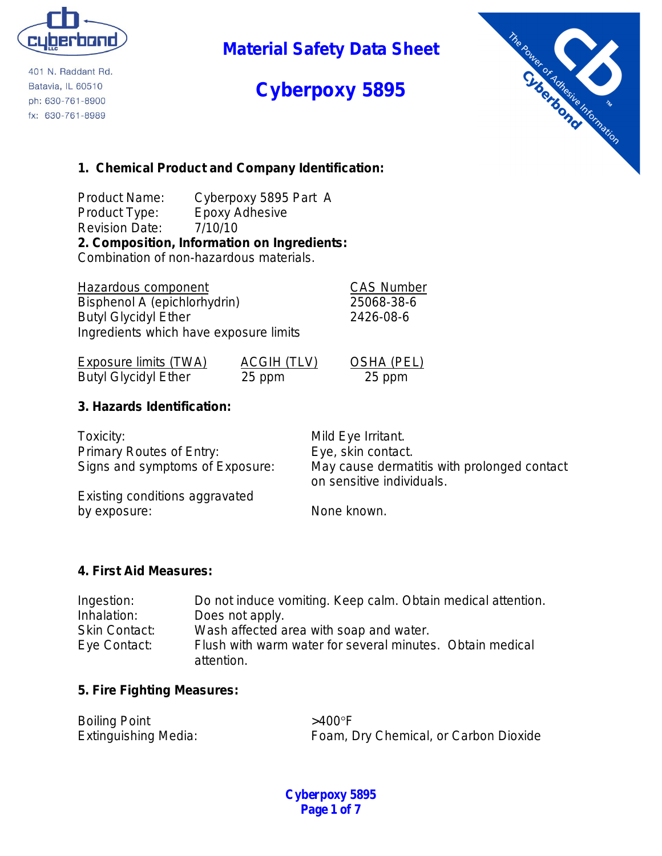

401 N. Raddant Rd. Batavia, IL 60510 ph: 630-761-8900 fx: 630-761-8989

**Material Safety Data Sheet**

# **Cyberpoxy 5895**



### **1. Chemical Product and Company Identification:**

Product Name: Cyberpoxy 5895 Part A Product Type: Epoxy Adhesive Revision Date: 7/10/10 **2. Composition, Information on Ingredients:** Combination of non-hazardous materials.

Hazardous component CAS Number Bisphenol A (epichlorhydrin) 25068-38-6 Butyl Glycidyl Ether 2426-08-6 Ingredients which have exposure limits

Exposure limits (TWA) ACGIH (TLV) OSHA (PEL) Butyl Glycidyl Ether 25 ppm 25 ppm

**3. Hazards Identification:**

Toxicity: Toxicity: Toxicity: Toxicity: Toxicity: Toxicity: Toxicity: Toxicity: Toxicity: Toxicity: Toxicity: Toxicity: Toxicity: Toxicity: Toxicity: Toxicity: Toxicity: Toxicity: Toxicity: Toxicity: Toxicity: Toxicity: To Primary Routes of Entry: Eye, skin contact. Signs and symptoms of Exposure: May cause dermatitis with prolonged contact on sensitive individuals. Existing conditions aggravated

by exposure: None known.

### **4. First Aid Measures:**

| Ingestion:           | Do not induce vomiting. Keep calm. Obtain medical attention. |
|----------------------|--------------------------------------------------------------|
| Inhalation:          | Does not apply.                                              |
| <b>Skin Contact:</b> | Wash affected area with soap and water.                      |
| Eye Contact:         | Flush with warm water for several minutes. Obtain medical    |
|                      | attention.                                                   |

### **5. Fire Fighting Measures:**

| <b>Boiling Point</b>        | $>400^\circ$ F                        |
|-----------------------------|---------------------------------------|
| <b>Extinguishing Media:</b> | Foam, Dry Chemical, or Carbon Dioxide |

**Cyberpoxy 5895 Page 1 of 7**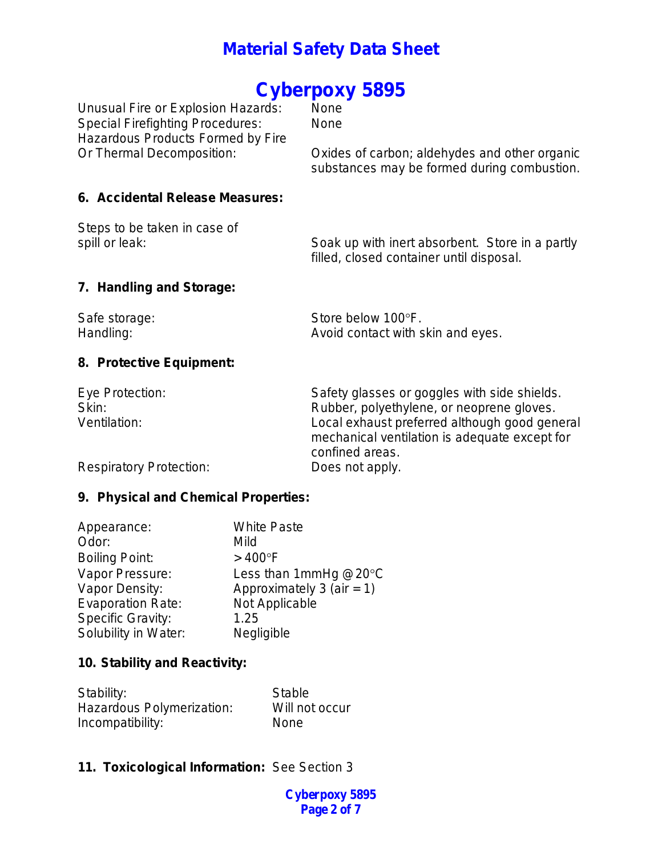# Cyberpoxy 5895

Unusual Fire or Explosion Hazards: Special Firefighting Procedures: None Hazardous Products Formed by Fire

Or Thermal Decomposition: Oxides of carbon; aldehydes and other organic substances may be formed during combustion.

#### **6. Accidental Release Measures:**

Steps to be taken in case of

spill or leak: Soak up with inert absorbent. Store in a partly filled, closed container until disposal.

### **7. Handling and Storage:**

| Safe storage: | Store below 100°F.                |
|---------------|-----------------------------------|
| Handling:     | Avoid contact with skin and eyes. |

### **8. Protective Equipment:**

| Eye Protection:                | Safety glasses or goggles with side shields.                                                                      |
|--------------------------------|-------------------------------------------------------------------------------------------------------------------|
| Skin:                          | Rubber, polyethylene, or neoprene gloves.                                                                         |
| Ventilation:                   | Local exhaust preferred although good general<br>mechanical ventilation is adequate except for<br>confined areas. |
| <b>Respiratory Protection:</b> | Does not apply.                                                                                                   |

### **9. Physical and Chemical Properties:**

| Appearance:              | <b>White Paste</b>        |
|--------------------------|---------------------------|
| Odor:                    | Mild                      |
| <b>Boiling Point:</b>    | $>400^{\circ}$ F          |
| Vapor Pressure:          | Less than 1mmHg $@20°C$   |
| Vapor Density:           | Approximately 3 (air = 1) |
| <b>Evaporation Rate:</b> | Not Applicable            |
| <b>Specific Gravity:</b> | 1.25                      |
| Solubility in Water:     | Negligible                |

### **10. Stability and Reactivity:**

| Stability:                | Stable         |
|---------------------------|----------------|
| Hazardous Polymerization: | Will not occur |
| Incompatibility:          | <b>None</b>    |

### **11. Toxicological Information:** See Section 3

**Cyberpoxy 5895 Page 2 of 7**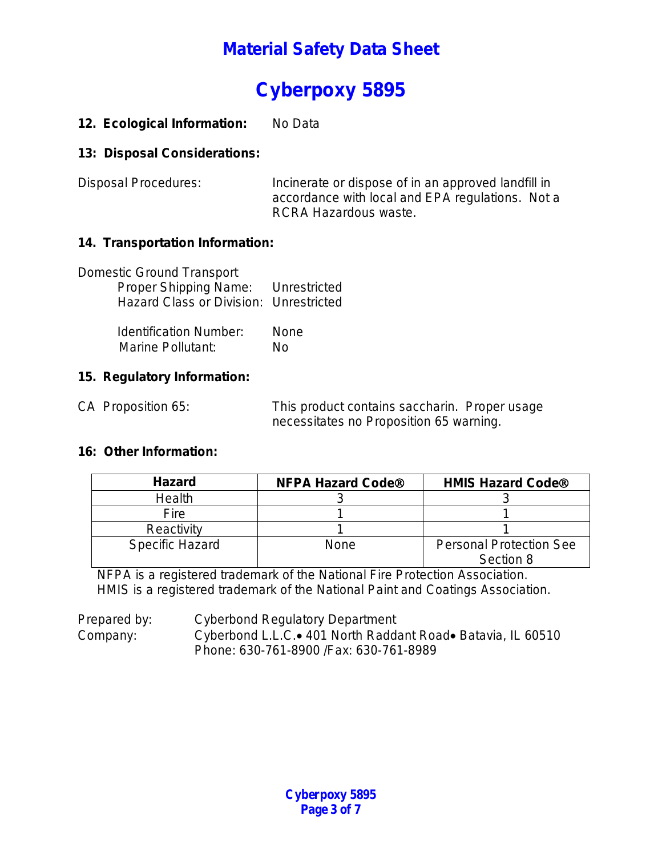# **Cyberpoxy 5895**

### 12. Ecological Information: No Data

### **13: Disposal Considerations:**

Disposal Procedures: Incinerate or dispose of in an approved landfill in accordance with local and EPA regulations. Not a RCRA Hazardous waste.

### **14. Transportation Information:**

| <b>Domestic Ground Transport</b><br>Proper Shipping Name: Unrestricted<br><b>Hazard Class or Division: Unrestricted</b> |      |
|-------------------------------------------------------------------------------------------------------------------------|------|
| <b>Identification Number:</b>                                                                                           | None |
| <b>Marine Pollutant:</b>                                                                                                | N٥   |

### **15. Regulatory Information:**

CA Proposition 65: This product contains saccharin. Proper usage necessitates no Proposition 65 warning.

### **16: Other Information:**

| <b>Hazard</b>          | <b>NFPA Hazard Code®</b> | <b>HMIS Hazard Code®</b>                    |
|------------------------|--------------------------|---------------------------------------------|
| Health                 |                          |                                             |
| <b>Fire</b>            |                          |                                             |
| Reactivity             |                          |                                             |
| <b>Specific Hazard</b> | None                     | <b>Personal Protection See</b><br>Section 8 |

NFPA is a registered trademark of the National Fire Protection Association. HMIS is a registered trademark of the National Paint and Coatings Association.

Prepared by: Cyberbond Regulatory Department Company: Cyberbond L.L.C.• 401 North Raddant Road• Batavia, IL 60510 Phone: 630-761-8900 /Fax: 630-761-8989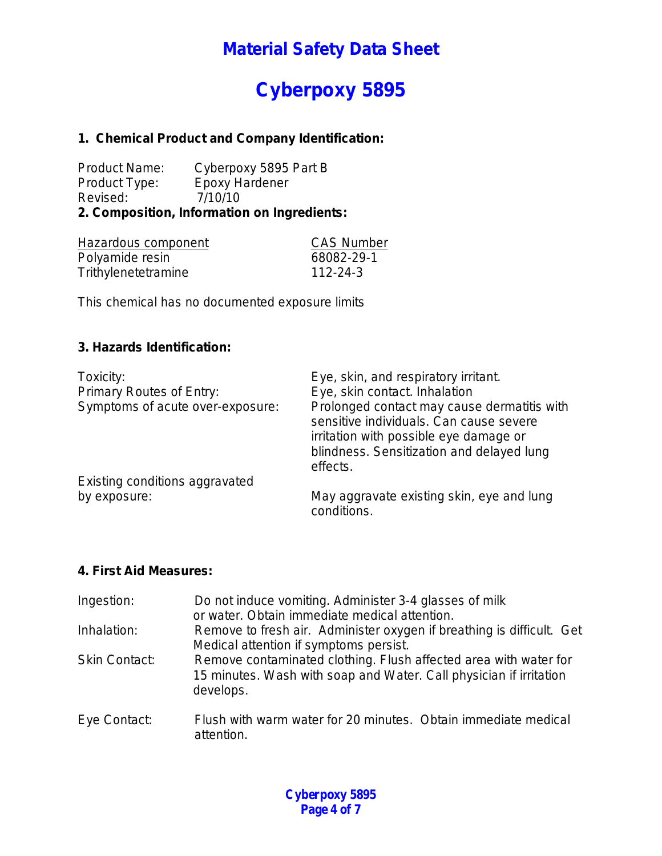# **Cyberpoxy 5895**

### **1. Chemical Product and Company Identification:**

Product Name: Cyberpoxy 5895 Part B<br>Product Type: Epoxy Hardener Product Type: Revised: 7/10/10 **2. Composition, Information on Ingredients:**

| Hazardous component | <b>CAS Number</b> |
|---------------------|-------------------|
| Polyamide resin     | 68082-29-1        |
| Trithylenetetramine | 112-24-3          |

This chemical has no documented exposure limits

### **3. Hazards Identification:**

| Toxicity:<br>Primary Routes of Entry:<br>Symptoms of acute over-exposure: | Eye, skin, and respiratory irritant.<br>Eye, skin contact. Inhalation<br>Prolonged contact may cause dermatitis with<br>sensitive individuals. Can cause severe<br>irritation with possible eye damage or<br>blindness. Sensitization and delayed lung |
|---------------------------------------------------------------------------|--------------------------------------------------------------------------------------------------------------------------------------------------------------------------------------------------------------------------------------------------------|
| Existing conditions aggravated                                            | effects.                                                                                                                                                                                                                                               |
|                                                                           |                                                                                                                                                                                                                                                        |
| by exposure:                                                              | May aggravate existing skin, eye and lung<br>conditions.                                                                                                                                                                                               |

#### **4. First Aid Measures:**

| Ingestion:           | Do not induce vomiting. Administer 3-4 glasses of milk<br>or water. Obtain immediate medical attention.                                             |
|----------------------|-----------------------------------------------------------------------------------------------------------------------------------------------------|
| Inhalation:          | Remove to fresh air. Administer oxygen if breathing is difficult. Get<br>Medical attention if symptoms persist.                                     |
| <b>Skin Contact:</b> | Remove contaminated clothing. Flush affected area with water for<br>15 minutes. Wash with soap and Water. Call physician if irritation<br>develops. |
| Eye Contact:         | Flush with warm water for 20 minutes. Obtain immediate medical<br>attention.                                                                        |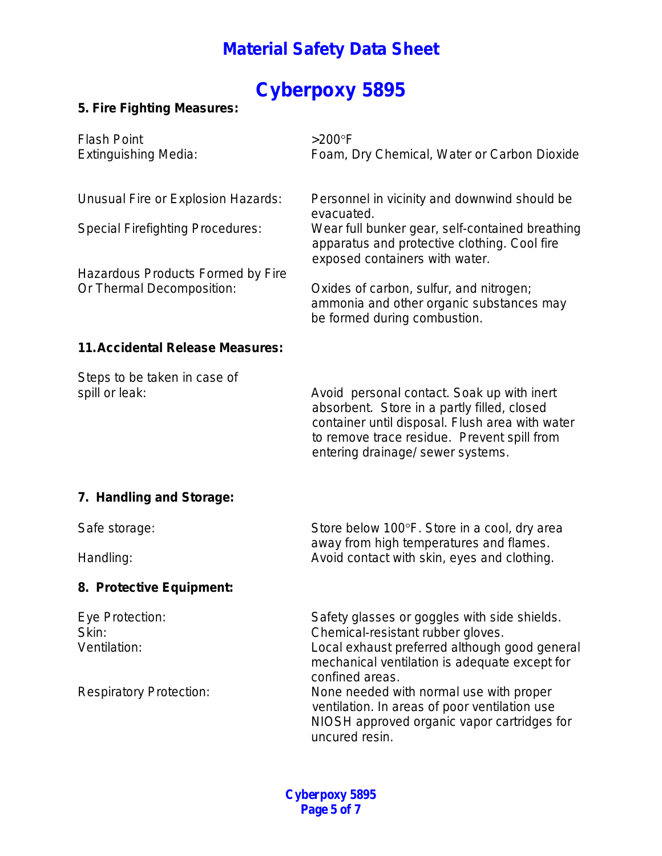# **Cyberpoxy 5895**

### **5. Fire Fighting Measures:**

| <b>Flash Point</b><br><b>Extinguishing Media:</b>                                                                                               | $>200^\circ F$<br>Foam, Dry Chemical, Water or Carbon Dioxide                                                                                                                                                                                                                                                                                                       |
|-------------------------------------------------------------------------------------------------------------------------------------------------|---------------------------------------------------------------------------------------------------------------------------------------------------------------------------------------------------------------------------------------------------------------------------------------------------------------------------------------------------------------------|
| Unusual Fire or Explosion Hazards:<br><b>Special Firefighting Procedures:</b><br>Hazardous Products Formed by Fire<br>Or Thermal Decomposition: | Personnel in vicinity and downwind should be<br>evacuated.<br>Wear full bunker gear, self-contained breathing<br>apparatus and protective clothing. Cool fire<br>exposed containers with water.<br>Oxides of carbon, sulfur, and nitrogen;<br>ammonia and other organic substances may<br>be formed during combustion.                                              |
| <b>11. Accidental Release Measures:</b>                                                                                                         |                                                                                                                                                                                                                                                                                                                                                                     |
| Steps to be taken in case of<br>spill or leak:                                                                                                  | Avoid personal contact. Soak up with inert<br>absorbent. Store in a partly filled, closed<br>container until disposal. Flush area with water<br>to remove trace residue. Prevent spill from<br>entering drainage/ sewer systems.                                                                                                                                    |
| 7. Handling and Storage:                                                                                                                        |                                                                                                                                                                                                                                                                                                                                                                     |
| Safe storage:<br>Handling:                                                                                                                      | Store below 100°F. Store in a cool, dry area<br>away from high temperatures and flames.<br>Avoid contact with skin, eyes and clothing.                                                                                                                                                                                                                              |
| 8. Protective Equipment:                                                                                                                        |                                                                                                                                                                                                                                                                                                                                                                     |
| Eye Protection:<br>Skin:<br>Ventilation:<br><b>Respiratory Protection:</b>                                                                      | Safety glasses or goggles with side shields.<br>Chemical-resistant rubber gloves.<br>Local exhaust preferred although good general<br>mechanical ventilation is adequate except for<br>confined areas.<br>None needed with normal use with proper<br>ventilation. In areas of poor ventilation use<br>NIOSH approved organic vapor cartridges for<br>uncured resin. |

**Cyberpoxy 5895 Page 5 of 7**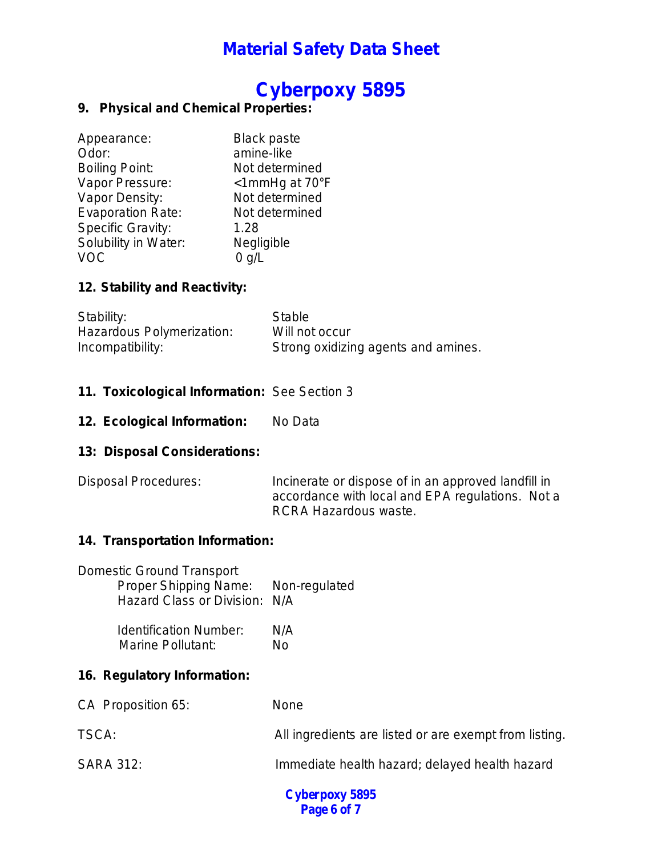### **Cyberpoxy 5895**

### **9. Physical and Chemical Properties:**

| Appearance:              | <b>Black paste</b>             |
|--------------------------|--------------------------------|
| Odor:                    | amine-like                     |
| <b>Boiling Point:</b>    | Not determined                 |
| Vapor Pressure:          | $\leq$ 1mmHg at 70 $\degree$ F |
| Vapor Density:           | Not determined                 |
| <b>Evaporation Rate:</b> | Not determined                 |
| <b>Specific Gravity:</b> | 1.28                           |
| Solubility in Water:     | Negligible                     |
| VOC                      | $0$ g/L                        |

### **12. Stability and Reactivity:**

| Stability:                | Stable                              |
|---------------------------|-------------------------------------|
| Hazardous Polymerization: | Will not occur                      |
| Incompatibility:          | Strong oxidizing agents and amines. |

### **11. Toxicological Information:** See Section 3

12. Ecological Information: No Data

### **13: Disposal Considerations:**

Disposal Procedures: Incinerate or dispose of in an approved landfill in accordance with local and EPA regulations. Not a RCRA Hazardous waste.

### **14. Transportation Information:**

| <b>Domestic Ground Transport</b>    |  |
|-------------------------------------|--|
| Proper Shipping Name: Non-regulated |  |
| Hazard Class or Division: N/A       |  |

| <b>Identification Number:</b> | N/A |
|-------------------------------|-----|
| <b>Marine Pollutant:</b>      | No  |

### **16. Regulatory Information:**

| CA Proposition 65: | <b>None</b>                                            |
|--------------------|--------------------------------------------------------|
| TSCA:              | All ingredients are listed or are exempt from listing. |
| <b>SARA 312:</b>   | Immediate health hazard; delayed health hazard         |

**Cyberpoxy 5895 Page 6 of 7**